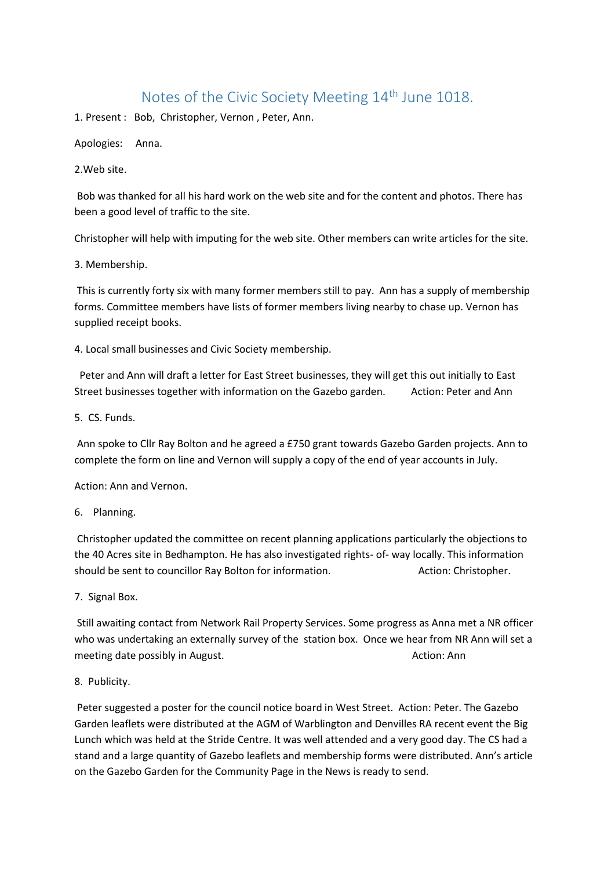## Notes of the Civic Society Meeting 14<sup>th</sup> June 1018.

1. Present : Bob, Christopher, Vernon , Peter, Ann.

Apologies: Anna.

2.Web site.

Bob was thanked for all his hard work on the web site and for the content and photos. There has been a good level of traffic to the site.

Christopher will help with imputing for the web site. Other members can write articles for the site.

3. Membership.

This is currently forty six with many former members still to pay. Ann has a supply of membership forms. Committee members have lists of former members living nearby to chase up. Vernon has supplied receipt books.

4. Local small businesses and Civic Society membership.

 Peter and Ann will draft a letter for East Street businesses, they will get this out initially to East Street businesses together with information on the Gazebo garden. Action: Peter and Ann

5. CS. Funds.

Ann spoke to Cllr Ray Bolton and he agreed a £750 grant towards Gazebo Garden projects. Ann to complete the form on line and Vernon will supply a copy of the end of year accounts in July.

Action: Ann and Vernon.

6. Planning.

Christopher updated the committee on recent planning applications particularly the objections to the 40 Acres site in Bedhampton. He has also investigated rights- of- way locally. This information should be sent to councillor Ray Bolton for information. Action: Christopher.

7. Signal Box.

Still awaiting contact from Network Rail Property Services. Some progress as Anna met a NR officer who was undertaking an externally survey of the station box. Once we hear from NR Ann will set a meeting date possibly in August. Action: Ann Action: Ann Action: Ann

## 8. Publicity.

Peter suggested a poster for the council notice board in West Street. Action: Peter. The Gazebo Garden leaflets were distributed at the AGM of Warblington and Denvilles RA recent event the Big Lunch which was held at the Stride Centre. It was well attended and a very good day. The CS had a stand and a large quantity of Gazebo leaflets and membership forms were distributed. Ann's article on the Gazebo Garden for the Community Page in the News is ready to send.